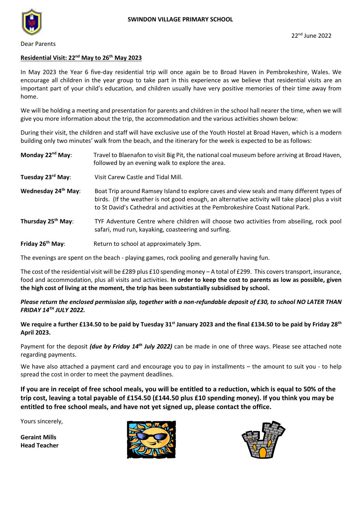

Dear Parents

## **Residential Visit: 22nd May to 26 th May 2023**

In May 2023 the Year 6 five-day residential trip will once again be to Broad Haven in Pembrokeshire, Wales. We encourage all children in the year group to take part in this experience as we believe that residential visits are an important part of your child's education, and children usually have very positive memories of their time away from home.

We will be holding a meeting and presentation for parents and children in the school hall nearer the time, when we will give you more information about the trip, the accommodation and the various activities shown below:

During their visit, the children and staff will have exclusive use of the Youth Hostel at Broad Haven, which is a modern building only two minutes' walk from the beach, and the itinerary for the week is expected to be as follows:

| Monday 22 <sup>nd</sup> May:   | Travel to Blaenafon to visit Big Pit, the national coal museum before arriving at Broad Haven,<br>followed by an evening walk to explore the area.                                                                                                                                 |  |
|--------------------------------|------------------------------------------------------------------------------------------------------------------------------------------------------------------------------------------------------------------------------------------------------------------------------------|--|
| Tuesday 23rd May:              | Visit Carew Castle and Tidal Mill.                                                                                                                                                                                                                                                 |  |
| Wednesday 24th May:            | Boat Trip around Ramsey Island to explore caves and view seals and many different types of<br>birds. (If the weather is not good enough, an alternative activity will take place) plus a visit<br>to St David's Cathedral and activities at the Pembrokeshire Coast National Park. |  |
| Thursday 25 <sup>th</sup> May: | TYF Adventure Centre where children will choose two activities from abseiling, rock pool<br>safari, mud run, kayaking, coasteering and surfing.                                                                                                                                    |  |
| Friday 26 <sup>th</sup> May:   | Return to school at approximately 3pm.                                                                                                                                                                                                                                             |  |

The evenings are spent on the beach - playing games, rock pooling and generally having fun.

The cost of the residential visit will be £289 plus £10 spending money – A total of £299. This covers transport, insurance, food and accommodation, plus all visits and activities. **In order to keep the cost to parents as low as possible, given the high cost of living at the moment, the trip has been substantially subsidised by school.**

### *Please return the enclosed permission slip, together with a non-refundable deposit of £30, to school NO LATER THAN FRIDAY 14TH JULY 2022.*

### **We require a further £134.50 to be paid by Tuesday 31st January 2023 and the final £134.50 to be paid by Friday 28 th April 2023.**

Payment for the deposit *(due by Friday 14th July 2022)* can be made in one of three ways. Please see attached note regarding payments.

We have also attached a payment card and encourage you to pay in installments – the amount to suit you - to help spread the cost in order to meet the payment deadlines.

**If you are in receipt of free school meals, you will be entitled to a reduction, which is equal to 50% of the trip cost, leaving a total payable of £154.50 (£144.50 plus £10 spending money). If you think you may be entitled to free school meals, and have not yet signed up, please contact the office.**

Yours sincerely,

**Geraint Mills Head Teacher**



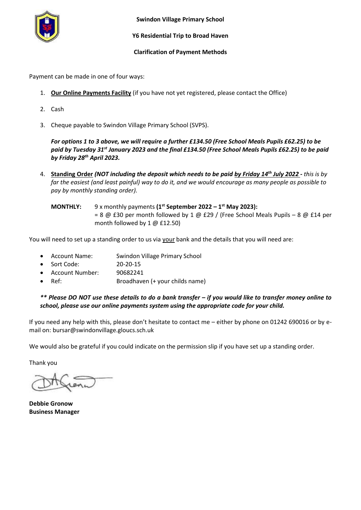

**Swindon Village Primary School**

#### **Y6 Residential Trip to Broad Haven**

#### **Clarification of Payment Methods**

Payment can be made in one of four ways:

- 1. **Our Online Payments Facility** (if you have not yet registered, please contact the Office)
- 2. Cash
- 3. Cheque payable to Swindon Village Primary School (SVPS).

*For options 1 to 3 above, we will require a further £134.50 (Free School Meals Pupils £62.25) to be paid by Tuesday 31st January 2023 and the final £134.50 (Free School Meals Pupils £62.25) to be paid by Friday 28 th April 2023.*

- 4. **Standing Order** *(NOT including the deposit which needs to be paid by Friday 14th July 2022 - this is by far the easiest (and least painful) way to do it, and we would encourage as many people as possible to pay by monthly standing order).*
	- **MONTHLY:** 9 x monthly payments (1<sup>st</sup> September 2022 1<sup>st</sup> May 2023): = 8  $\omega$  £30 per month followed by 1  $\omega$  £29 / (Free School Meals Pupils – 8  $\omega$  £14 per month followed by 1 @ £12.50)

You will need to set up a standing order to us via your bank and the details that you will need are:

- Account Name: Swindon Village Primary School
- Sort Code: 20-20-15
- Account Number: 90682241
- Ref: Broadhaven (+ your childs name)

*\*\* Please DO NOT use these details to do a bank transfer – if you would like to transfer money online to school, please use our online payments system using the appropriate code for your child.*

If you need any help with this, please don't hesitate to contact me – either by phone on 01242 690016 or by email on: bursar@swindonvillage.gloucs.sch.uk

We would also be grateful if you could indicate on the permission slip if you have set up a standing order.

Thank you

**Debbie Gronow Business Manager**